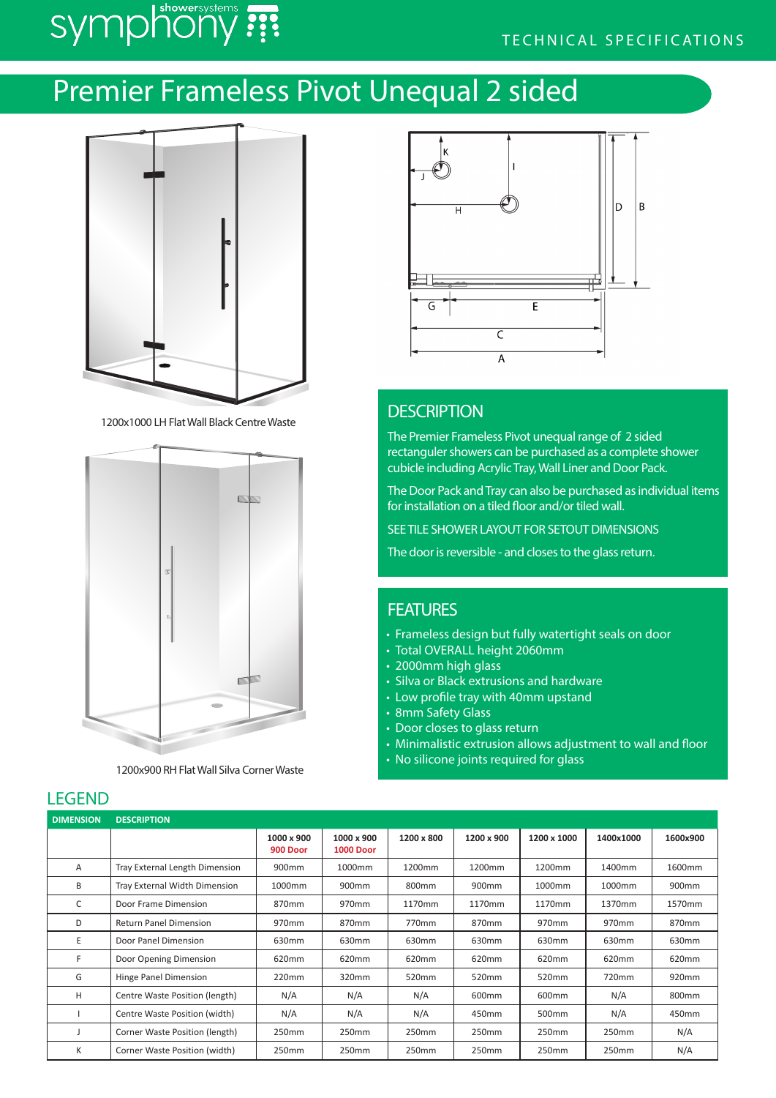# symphony :

## TECHNICAL SPECIFICATIONS

# Premier Frameless Pivot Unequal 2 sided



1200x1000 LH Flat Wall Black Centre Waste



1200x900 RH Flat Wall Silva Corner Waste

# Īκ  $\overline{1}$  $\overline{B}$ ld.  $\overline{H}$ ₩  $\overline{E}$  $\overline{C}$  $\overline{\mathsf{C}}$  $\overline{A}$

## **DESCRIPTION**

The Premier Frameless Pivot unequal range of 2 sided rectanguler showers can be purchased as a complete shower cubicle including Acrylic Tray, Wall Liner and Door Pack.

The Door Pack and Tray can also be purchased as individual items for installation on a tiled floor and/or tiled wall.

SEE TILE SHOWER LAYOUT FOR SETOUT DIMENSIONS

The door is reversible - and closes to the glass return.

## **FEATURES**

- Frameless design but fully watertight seals on door
- Total OVERALL height 2060mm
- 2000mm high glass
- Silva or Black extrusions and hardware
- Low profile tray with 40mm upstand
- 8mm Safety Glass
- Door closes to glass return
- Minimalistic extrusion allows adjustment to wall and floor
- No silicone joints required for glass

| <b>DIMENSION</b> | <b>DESCRIPTION</b>             |                        |                                |                   |            |             |                   |          |
|------------------|--------------------------------|------------------------|--------------------------------|-------------------|------------|-------------|-------------------|----------|
|                  |                                | 1000 x 900<br>900 Door | 1000 x 900<br><b>1000 Door</b> | 1200 x 800        | 1200 x 900 | 1200 x 1000 | 1400x1000         | 1600x900 |
| A                | Tray External Length Dimension | 900 <sub>mm</sub>      | 1000mm                         | 1200mm            | 1200mm     | 1200mm      | 1400mm            | 1600mm   |
| В                | Tray External Width Dimension  | 1000mm                 | 900mm                          | 800mm             | 900mm      | 1000mm      | 1000mm            | 900mm    |
| C                | Door Frame Dimension           | 870mm                  | 970mm                          | 1170mm            | 1170mm     | 1170mm      | 1370mm            | 1570mm   |
| D                | <b>Return Panel Dimension</b>  | 970mm                  | 870mm                          | 770mm             | 870mm      | 970mm       | 970mm             | 870mm    |
| E                | Door Panel Dimension           | 630 <sub>mm</sub>      | 630mm                          | 630 <sub>mm</sub> | 630mm      | 630mm       | 630 <sub>mm</sub> | 630mm    |
| F                | Door Opening Dimension         | 620mm                  | 620mm                          | 620mm             | 620mm      | 620mm       | 620mm             | 620mm    |
| G                | Hinge Panel Dimension          | 220mm                  | 320mm                          | 520 <sub>mm</sub> | 520mm      | 520mm       | 720mm             | 920mm    |
| H                | Centre Waste Position (length) | N/A                    | N/A                            | N/A               | 600mm      | 600mm       | N/A               | 800mm    |
|                  | Centre Waste Position (width)  | N/A                    | N/A                            | N/A               | 450mm      | 500mm       | N/A               | 450mm    |
|                  | Corner Waste Position (length) | 250mm                  | 250mm                          | 250mm             | 250mm      | 250mm       | 250mm             | N/A      |
| К                | Corner Waste Position (width)  | 250mm                  | 250mm                          | 250mm             | 250mm      | 250mm       | 250mm             | N/A      |

## LEGEND